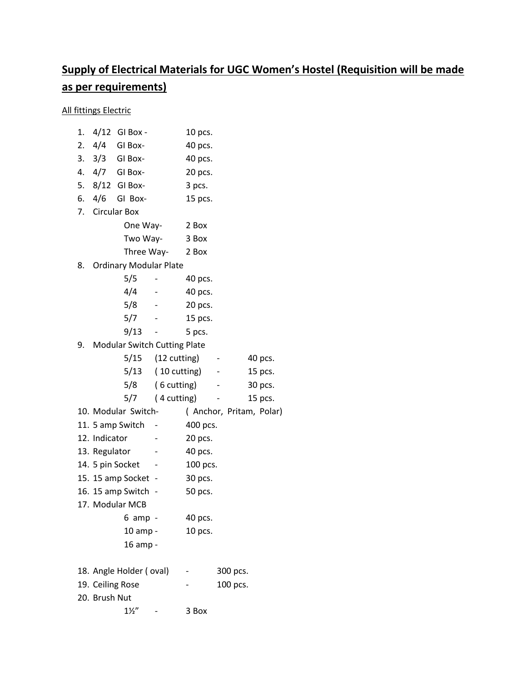## **Supply of Electrical Materials for UGC Women's Hostel (Requisition will be made as per requirements)**

All fittings Electric

| 1.                                 | $4/12$ GI Box -                        |                               | 10 pcs.            |                |                         |
|------------------------------------|----------------------------------------|-------------------------------|--------------------|----------------|-------------------------|
| 2.                                 | $4/4$ GI Box-                          |                               | 40 pcs.            |                |                         |
|                                    | 3. 3/3 GI Box-                         |                               | 40 pcs.            |                |                         |
|                                    | 4. 4/7 GI Box-                         |                               | 20 pcs.            |                |                         |
|                                    | 5. 8/12 GI Box-                        |                               | 3 pcs.             |                |                         |
|                                    | 6. 4/6<br>GI Box-                      |                               | 15 pcs.            |                |                         |
|                                    | 7. Circular Box                        |                               |                    |                |                         |
|                                    | One Way-                               |                               | 2 Box              |                |                         |
|                                    | Two Way-                               |                               | 3 Box              |                |                         |
|                                    |                                        | Three Way-                    | 2 Box              |                |                         |
| 8.                                 | <b>Ordinary Modular Plate</b>          |                               |                    |                |                         |
|                                    | 5/5                                    |                               | 40 pcs.            |                |                         |
|                                    | 4/4                                    |                               | 40 pcs.            |                |                         |
|                                    | 5/8                                    |                               | 20 pcs.            |                |                         |
|                                    | 5/7                                    |                               | 15 pcs.            |                |                         |
|                                    | 9/13                                   |                               | 5 pcs.             |                |                         |
| Modular Switch Cutting Plate<br>9. |                                        |                               |                    |                |                         |
|                                    |                                        | $5/15$ $(12 \text{ cutting})$ |                    | $\blacksquare$ | 40 pcs.                 |
|                                    |                                        |                               | 5/13 (10 cutting)  |                | 15 pcs.                 |
|                                    |                                        | 5/8 (6 cutting)               |                    |                | 30 pcs.                 |
|                                    |                                        | $5/7$ (4 cutting)             |                    |                | 15 pcs.                 |
| 10. Modular Switch-                |                                        |                               |                    |                | (Anchor, Pritam, Polar) |
| 11. 5 amp Switch                   |                                        | -                             | 400 pcs.           |                |                         |
|                                    | 12. Indicator                          |                               | 20 pcs.            |                |                         |
|                                    | 13. Regulator                          |                               | 40 pcs.            |                |                         |
| 14. 5 pin Socket                   |                                        |                               | 100 pcs.           |                |                         |
|                                    | 15. 15 amp Socket -                    |                               | 30 pcs.            |                |                         |
|                                    | 16. 15 amp Switch -<br>17. Modular MCB |                               | 50 pcs.            |                |                         |
|                                    | $6$ amp -                              |                               |                    |                |                         |
|                                    | 10 amp -                               |                               | 40 pcs.<br>10 pcs. |                |                         |
|                                    | 16 amp -                               |                               |                    |                |                         |
|                                    |                                        |                               |                    |                |                         |
|                                    | 18. Angle Holder (oval)                |                               |                    | 300 pcs.       |                         |
|                                    | 19. Ceiling Rose                       |                               |                    | 100 pcs.       |                         |
|                                    | 20. Brush Nut                          |                               |                    |                |                         |
|                                    | $1\frac{1}{2}$                         |                               | 3 Box              |                |                         |